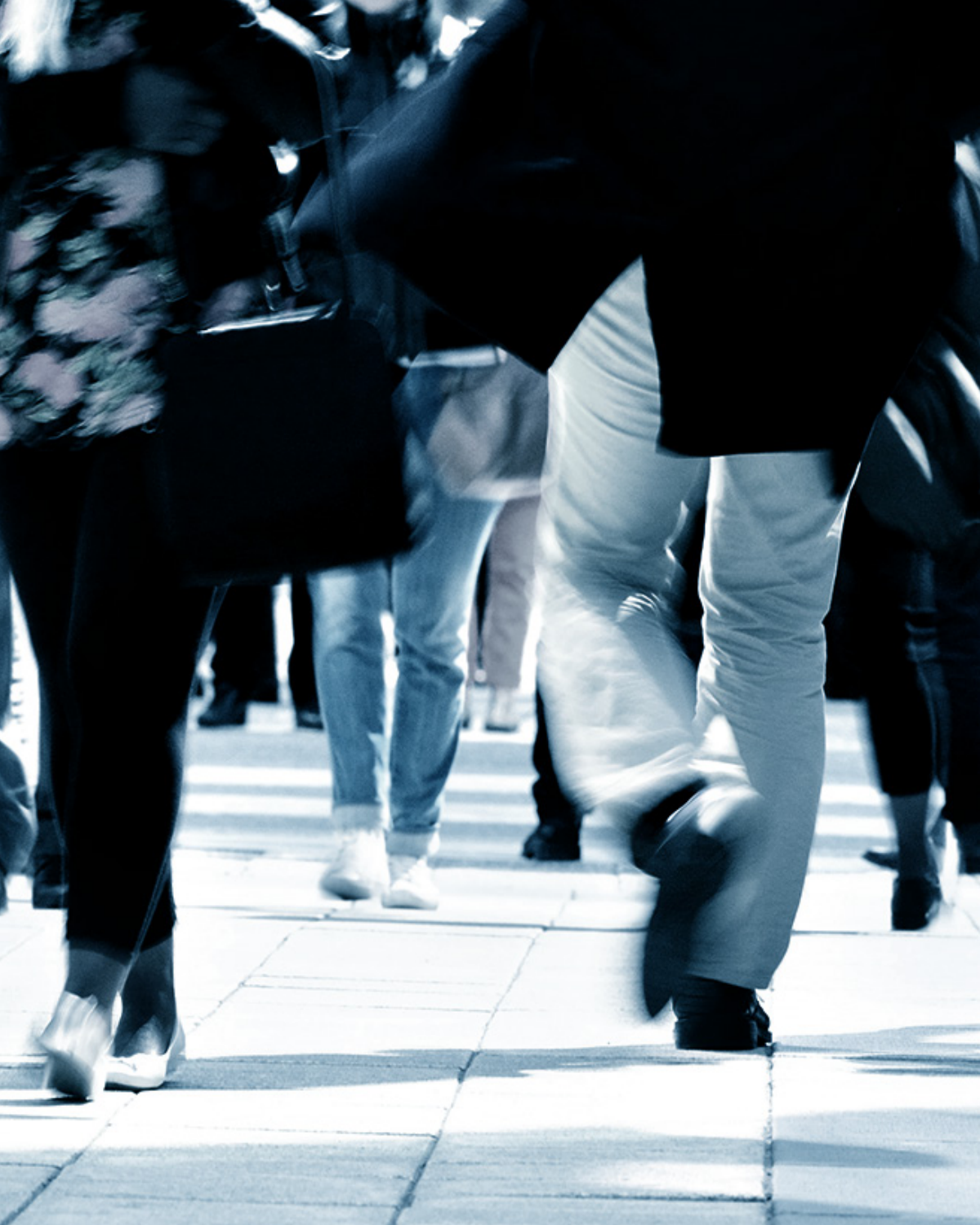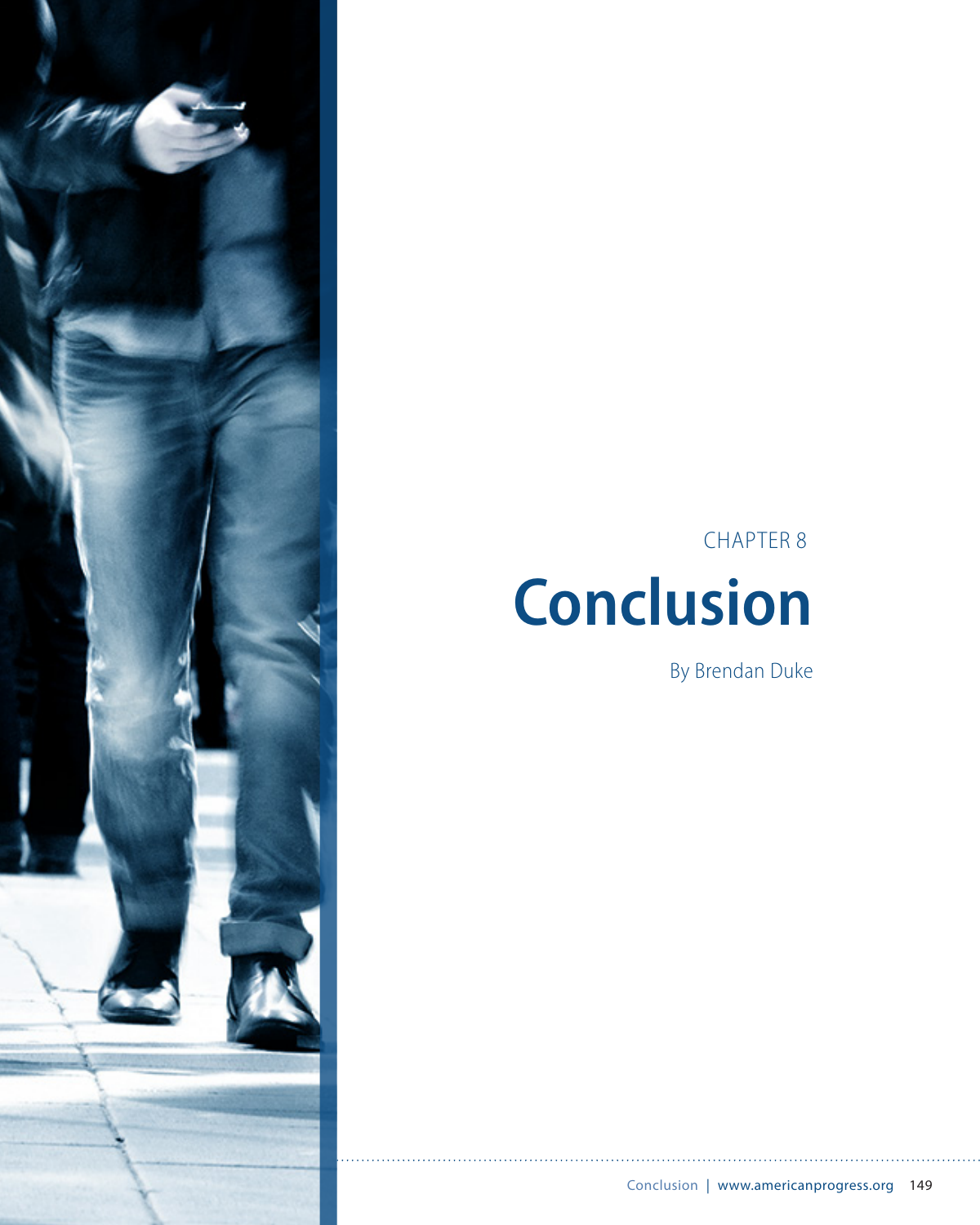

## CHAPTER 8 **Conclusion**

By Brendan Duke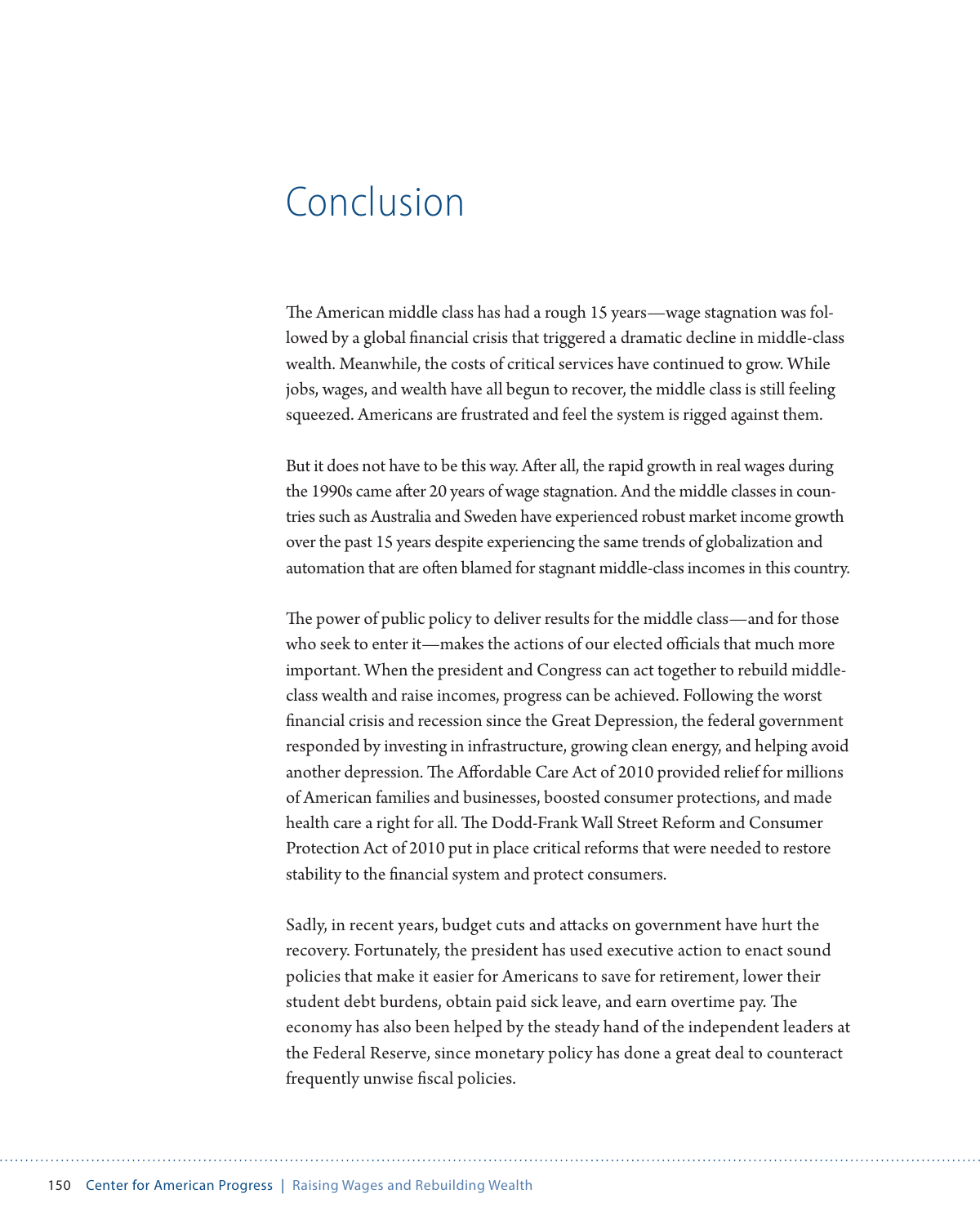## Conclusion

The American middle class has had a rough 15 years—wage stagnation was followed by a global financial crisis that triggered a dramatic decline in middle-class wealth. Meanwhile, the costs of critical services have continued to grow. While jobs, wages, and wealth have all begun to recover, the middle class is still feeling squeezed. Americans are frustrated and feel the system is rigged against them.

But it does not have to be this way. After all, the rapid growth in real wages during the 1990s came after 20 years of wage stagnation. And the middle classes in countries such as Australia and Sweden have experienced robust market income growth over the past 15 years despite experiencing the same trends of globalization and automation that are often blamed for stagnant middle-class incomes in this country.

The power of public policy to deliver results for the middle class—and for those who seek to enter it—makes the actions of our elected officials that much more important. When the president and Congress can act together to rebuild middleclass wealth and raise incomes, progress can be achieved. Following the worst financial crisis and recession since the Great Depression, the federal government responded by investing in infrastructure, growing clean energy, and helping avoid another depression. The Affordable Care Act of 2010 provided relief for millions of American families and businesses, boosted consumer protections, and made health care a right for all. The Dodd-Frank Wall Street Reform and Consumer Protection Act of 2010 put in place critical reforms that were needed to restore stability to the financial system and protect consumers.

Sadly, in recent years, budget cuts and attacks on government have hurt the recovery. Fortunately, the president has used executive action to enact sound policies that make it easier for Americans to save for retirement, lower their student debt burdens, obtain paid sick leave, and earn overtime pay. The economy has also been helped by the steady hand of the independent leaders at the Federal Reserve, since monetary policy has done a great deal to counteract frequently unwise fiscal policies.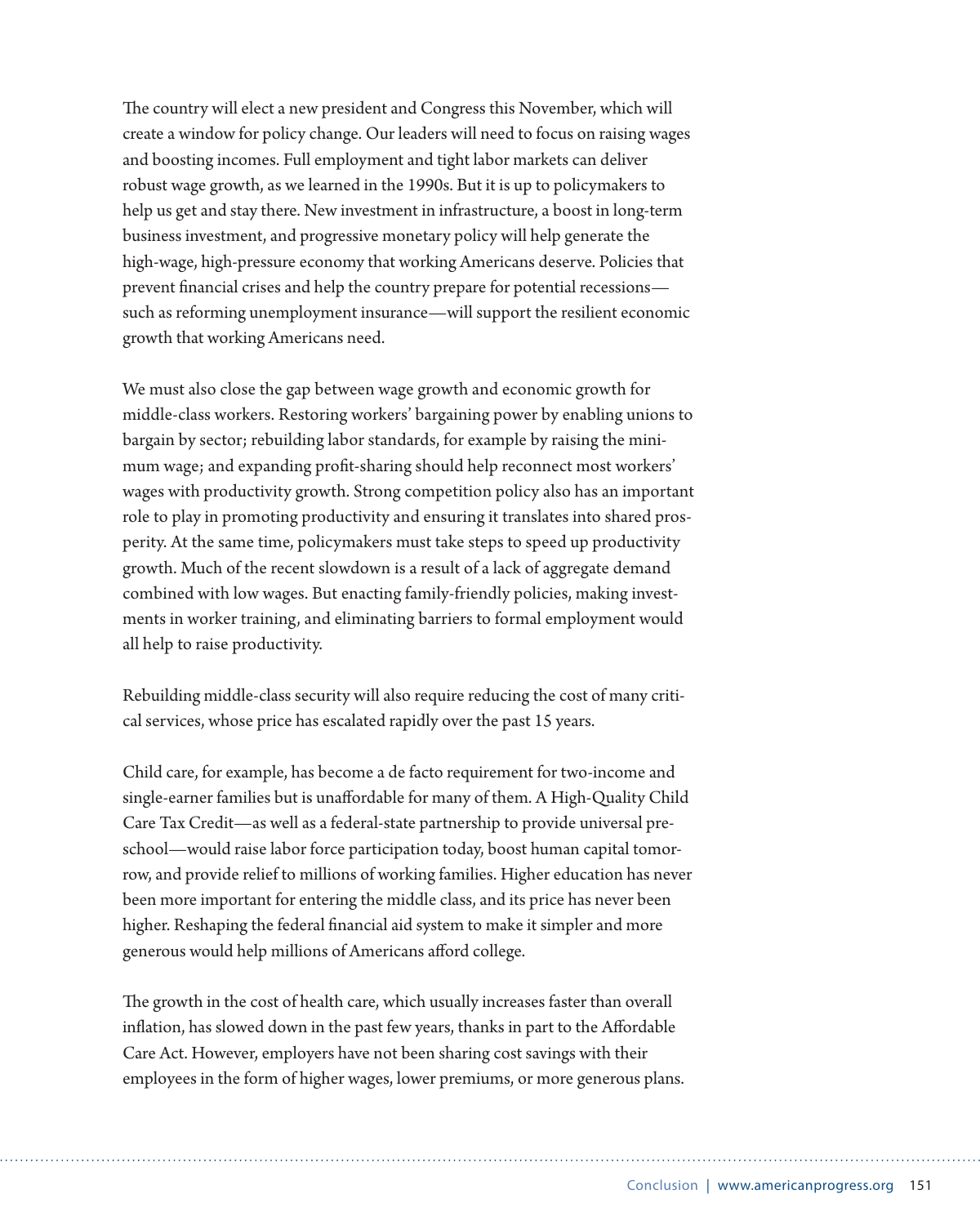The country will elect a new president and Congress this November, which will create a window for policy change. Our leaders will need to focus on raising wages and boosting incomes. Full employment and tight labor markets can deliver robust wage growth, as we learned in the 1990s. But it is up to policymakers to help us get and stay there. New investment in infrastructure, a boost in long-term business investment, and progressive monetary policy will help generate the high-wage, high-pressure economy that working Americans deserve. Policies that prevent financial crises and help the country prepare for potential recessions such as reforming unemployment insurance—will support the resilient economic growth that working Americans need.

We must also close the gap between wage growth and economic growth for middle-class workers. Restoring workers' bargaining power by enabling unions to bargain by sector; rebuilding labor standards, for example by raising the minimum wage; and expanding profit-sharing should help reconnect most workers' wages with productivity growth. Strong competition policy also has an important role to play in promoting productivity and ensuring it translates into shared prosperity. At the same time, policymakers must take steps to speed up productivity growth. Much of the recent slowdown is a result of a lack of aggregate demand combined with low wages. But enacting family-friendly policies, making investments in worker training, and eliminating barriers to formal employment would all help to raise productivity.

Rebuilding middle-class security will also require reducing the cost of many critical services, whose price has escalated rapidly over the past 15 years.

Child care, for example, has become a de facto requirement for two-income and single-earner families but is unaffordable for many of them. A High-Quality Child Care Tax Credit—as well as a federal-state partnership to provide universal preschool—would raise labor force participation today, boost human capital tomorrow, and provide relief to millions of working families. Higher education has never been more important for entering the middle class, and its price has never been higher. Reshaping the federal financial aid system to make it simpler and more generous would help millions of Americans afford college.

The growth in the cost of health care, which usually increases faster than overall inflation, has slowed down in the past few years, thanks in part to the Affordable Care Act. However, employers have not been sharing cost savings with their employees in the form of higher wages, lower premiums, or more generous plans.